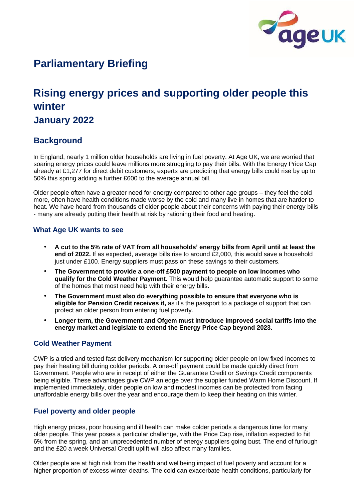

# **Parliamentary Briefing**

# **Rising energy prices and supporting older people this winter**

# **January 2022**

# **Background**

In England, nearly 1 million older households are living in fuel poverty. At Age UK, we are worried that soaring energy prices could leave millions more struggling to pay their bills. With the Energy Price Cap already at £1,277 for direct debit customers, experts are predicting that energy bills could rise by up to 50% this spring adding a further £600 to the average annual bill.

Older people often have a greater need for energy compared to other age groups – they feel the cold more, often have health conditions made worse by the cold and many live in homes that are harder to heat. We have heard from thousands of older people about their concerns with paying their energy bills - many are already putting their health at risk by rationing their food and heating.

## **What Age UK wants to see**

- **A cut to the 5% rate of VAT from all households' energy bills from April until at least the end of 2022.** If as expected, average bills rise to around £2,000, this would save a household just under £100. Energy suppliers must pass on these savings to their customers.
- **The Government to provide a one-off £500 payment to people on low incomes who qualify for the Cold Weather Payment.** This would help guarantee automatic support to some of the homes that most need help with their energy bills.
- **The Government must also do everything possible to ensure that everyone who is eligible for Pension Credit receives it,** as it's the passport to a package of support that can protect an older person from entering fuel poverty.
- **Longer term, the Government and Ofgem must introduce improved social tariffs into the energy market and legislate to extend the Energy Price Cap beyond 2023.**

## **Cold Weather Payment**

CWP is a tried and tested fast delivery mechanism for supporting older people on low fixed incomes to pay their heating bill during colder periods. A one-off payment could be made quickly direct from Government. People who are in receipt of either the Guarantee Credit or Savings Credit components being eligible. These advantages give CWP an edge over the supplier funded Warm Home Discount. If implemented immediately, older people on low and modest incomes can be protected from facing unaffordable energy bills over the year and encourage them to keep their heating on this winter.

## **Fuel poverty and older people**

High energy prices, poor housing and ill health can make colder periods a dangerous time for many older people. This year poses a particular challenge, with the Price Cap rise, inflation expected to hit 6% from the spring, and an unprecedented number of energy suppliers going bust. The end of furlough and the £20 a week Universal Credit uplift will also affect many families.

Older people are at high risk from the health and wellbeing impact of fuel poverty and account for a higher proportion of excess winter deaths. The cold can exacerbate health conditions, particularly for